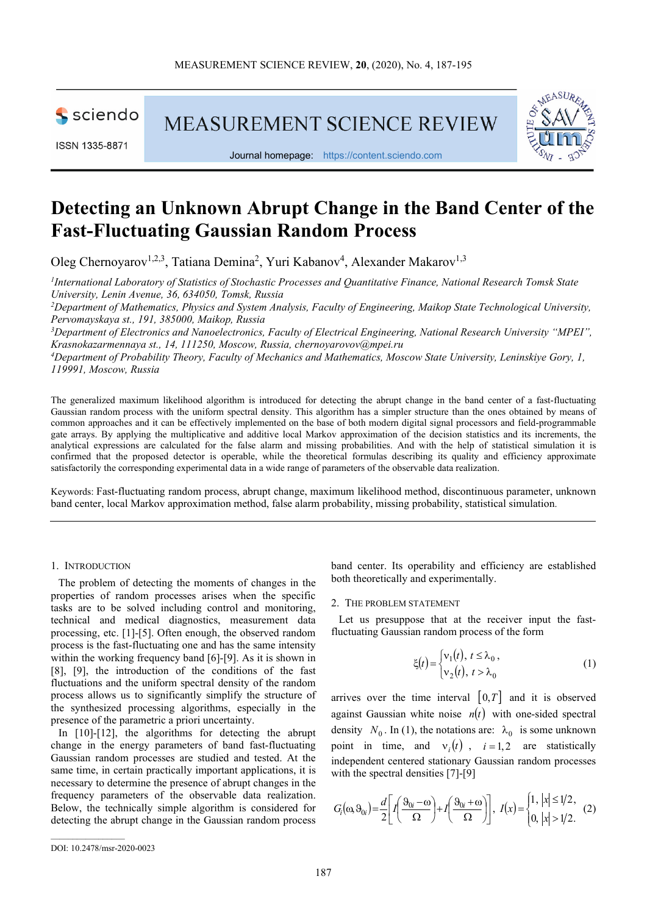sciendo

ISSN 1335-8871

**MEASUREMENT SCIENCE REVIEW** 





# **Detecting an Unknown Abrupt Change in the Band Center of the Fast-Fluctuating Gaussian Random Process**

Oleg Chernoyarov<sup>1,2,3</sup>, Tatiana Demina<sup>2</sup>, Yuri Kabanov<sup>4</sup>, Alexander Makarov<sup>1,3</sup>

*1 International Laboratory of Statistics of Stochastic Processes and Quantitative Finance, National Research Tomsk State University, Lenin Avenue, 36, 634050, Tomsk, Russia*

*<sup>2</sup>Department of Mathematics, Physics and System Analysis, Faculty of Engineering, Maikop State Technological University, Pervomayskaya st., 191, 385000, Maikop, Russia*

*<sup>3</sup>Department of Electronics and Nanoelectronics, Faculty of Electrical Engineering, National Research University "MPEI", Krasnokazarmennaya st., 14, 111250, Moscow, Russia, chernoyarovov@mpei.ru* 

*<sup>4</sup>Department of Probability Theory, Faculty of Mechanics and Mathematics, Moscow State University, Leninskiye Gory, 1, 119991, Moscow, Russia* 

The generalized maximum likelihood algorithm is introduced for detecting the abrupt change in the band center of a fast-fluctuating Gaussian random process with the uniform spectral density. This algorithm has a simpler structure than the ones obtained by means of common approaches and it can be effectively implemented on the base of both modern digital signal processors and field-programmable gate arrays. By applying the multiplicative and additive local Markov approximation of the decision statistics and its increments, the analytical expressions are calculated for the false alarm and missing probabilities. And with the help of statistical simulation it is confirmed that the proposed detector is operable, while the theoretical formulas describing its quality and efficiency approximate satisfactorily the corresponding experimental data in a wide range of parameters of the observable data realization.

Keywords: Fast-fluctuating random process, abrupt change, maximum likelihood method, discontinuous parameter, unknown band center, local Markov approximation method, false alarm probability, missing probability, statistical simulation.

## 1. INTRODUCTION

The problem of detecting the moments of changes in the properties of random processes arises when the specific tasks are to be solved including control and monitoring, technical and medical diagnostics, measurement data processing, etc. [1]-[5]. Often enough, the observed random process is the fast-fluctuating one and has the same intensity within the working frequency band [6]-[9]. As it is shown in [8], [9], the introduction of the conditions of the fast fluctuations and the uniform spectral density of the random process allows us to significantly simplify the structure of the synthesized processing algorithms, especially in the presence of the parametric a priori uncertainty.

In [10]-[12], the algorithms for detecting the abrupt change in the energy parameters of band fast-fluctuating Gaussian random processes are studied and tested. At the same time, in certain practically important applications, it is necessary to determine the presence of abrupt changes in the frequency parameters of the observable data realization. Below, the technically simple algorithm is considered for detecting the abrupt change in the Gaussian random process

band center. Its operability and efficiency are established both theoretically and experimentally.

#### 2. THE PROBLEM STATEMENT

Let us presuppose that at the receiver input the fastfluctuating Gaussian random process of the form

$$
\xi(t) = \begin{cases} v_1(t), & t \le \lambda_0, \\ v_2(t), & t > \lambda_0 \end{cases}
$$
 (1)

arrives over the time interval  $[0, T]$  and it is observed against Gaussian white noise  $n(t)$  with one-sided spectral density  $N_0$ . In (1), the notations are:  $\lambda_0$  is some unknown point in time, and  $v_i(t)$ ,  $i=1,2$  are statistically independent centered stationary Gaussian random processes with the spectral densities [7]-[9]

$$
G_i(\omega, \vartheta_{0i}) = \frac{d}{2} \bigg[ I\bigg(\frac{\vartheta_{0i} - \omega}{\Omega}\bigg) + I\bigg(\frac{\vartheta_{0i} + \omega}{\Omega}\bigg) \bigg], \ I(x) = \begin{cases} 1, |x| \leq 1/2, \\ 0, |x| > 1/2. \end{cases} (2)
$$

DOI: 10.2478/msr-2020-0023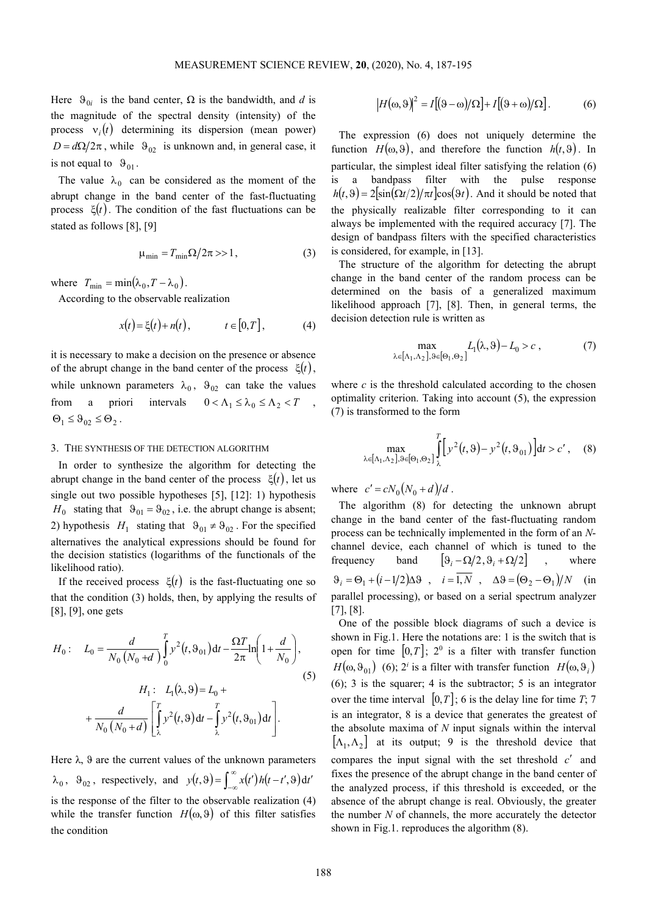Here  $\Theta_{0i}$  is the band center,  $\Omega$  is the bandwidth, and *d* is the magnitude of the spectral density (intensity) of the process  $v_i(t)$  determining its dispersion (mean power)  $D = d\Omega/2\pi$ , while  $\Theta_{02}$  is unknown and, in general case, it is not equal to  $\vartheta_{01}$ .

The value  $\lambda_0$  can be considered as the moment of the abrupt change in the band center of the fast-fluctuating process ξ(*t*). The condition of the fast fluctuations can be stated as follows [8], [9]

$$
\mu_{\min} = T_{\min} \Omega / 2\pi >> 1, \qquad (3)
$$

where  $T_{\min} = \min(\lambda_0, T - \lambda_0)$ .

According to the observable realization

$$
x(t) = \xi(t) + n(t), \qquad t \in [0, T], \qquad (4)
$$

it is necessary to make a decision on the presence or absence of the abrupt change in the band center of the process  $\xi(t)$ , while unknown parameters  $\lambda_0$ ,  $\theta_{02}$  can take the values from a priori intervals  $0 < \Lambda_1 \leq \lambda_0 \leq \Lambda_2 < T$ ,  $\Theta_1 \leq \Theta_{02} \leq \Theta_2$ .

## 3. THE SYNTHESIS OF THE DETECTION ALGORITHM

In order to synthesize the algorithm for detecting the abrupt change in the band center of the process  $\xi(t)$ , let us single out two possible hypotheses [5], [12]: 1) hypothesis  $H_0$  stating that  $\vartheta_{01} = \vartheta_{02}$ , i.e. the abrupt change is absent; 2) hypothesis  $H_1$  stating that  $\vartheta_{01} \neq \vartheta_{02}$ . For the specified alternatives the analytical expressions should be found for the decision statistics (logarithms of the functionals of the likelihood ratio).

If the received process  $\xi(t)$  is the fast-fluctuating one so that the condition (3) holds, then, by applying the results of [8], [9], one gets

$$
H_0: \quad L_0 = \frac{d}{N_0 (N_0 + d)} \int_0^T y^2(t, \vartheta_{01}) dt - \frac{\Omega T}{2\pi} \ln\left(1 + \frac{d}{N_0}\right),
$$
  

$$
H_1: \quad L_1(\lambda, \vartheta) = L_0 +
$$
  

$$
+ \frac{d}{N_0 (N_0 + d)} \left[ \int_{\lambda}^T y^2(t, \vartheta) dt - \int_{\lambda}^T y^2(t, \vartheta_{01}) dt \right].
$$
  
(5)

Here  $\lambda$ ,  $\theta$  are the current values of the unknown parameters  $\lambda_0$ ,  $\theta_{02}$ , respectively, and  $y(t, \theta) = \int_{-\infty}^{\infty} x(t') h(t-t', \theta) d\theta$  $y(t, \vartheta) = \int_{-\infty}^{\infty} x(t') h(t-t', \vartheta) dt'$ is the response of the filter to the observable realization (4) while the transfer function  $H(\omega, \vartheta)$  of this filter satisfies the condition

$$
\left|H(\omega,\vartheta)\right|^2 = I[(\vartheta-\omega)/\Omega] + I[(\vartheta+\omega)/\Omega].\tag{6}
$$

The expression (6) does not uniquely determine the function  $H(\omega, \vartheta)$ , and therefore the function  $h(t, \vartheta)$ . In particular, the simplest ideal filter satisfying the relation (6) is a bandpass filter with the pulse response  $h(t, \theta) = 2\left[\sin(\Omega t/2)/\pi t\right]\cos(\theta t)$ . And it should be noted that the physically realizable filter corresponding to it can always be implemented with the required accuracy [7]. The design of bandpass filters with the specified characteristics is considered, for example, in [13].

The structure of the algorithm for detecting the abrupt change in the band center of the random process can be determined on the basis of a generalized maximum likelihood approach [7], [8]. Then, in general terms, the decision detection rule is written as

$$
\max_{\lambda \in [\Lambda_1, \Lambda_2], \vartheta \in [\Theta_1, \Theta_2]} L_1(\lambda, \vartheta) - L_0 > c , \qquad (7)
$$

where  $c$  is the threshold calculated according to the chosen optimality criterion. Taking into account (5), the expression (7) is transformed to the form

$$
\max_{\lambda \in [\Lambda_1, \Lambda_2], \vartheta \in [\Theta_1, \Theta_2]} \int_{\lambda}^{T} \Big[ y^2(t, \vartheta) - y^2(t, \vartheta_{01}) \Big] dt > c', \quad (8)
$$

where  $c' = cN_0(N_0 + d)/d$ .

The algorithm (8) for detecting the unknown abrupt change in the band center of the fast-fluctuating random process can be technically implemented in the form of an *N*channel device, each channel of which is tuned to the frequency band  $\left[ \vartheta_i - \Omega/2, \vartheta_i + \Omega/2 \right]$ , where  $\Theta_i = \Theta_1 + (i - 1/2)\Delta\Theta$ ,  $i = 1, N$ ,  $\Delta\Theta = (\Theta_2 - \Theta_1)/N$  (in parallel processing), or based on a serial spectrum analyzer [7], [8].

One of the possible block diagrams of such a device is shown in Fig.1. Here the notations are: 1 is the switch that is open for time  $[0, T]$ ;  $2^0$  is a filter with transfer function  $H(\omega, \vartheta_{01})$  (6); 2<sup>*i*</sup> is a filter with transfer function  $H(\omega, \vartheta_i)$ (6); 3 is the squarer; 4 is the subtractor; 5 is an integrator over the time interval  $[0, T]$ ; 6 is the delay line for time *T*; 7 is an integrator, 8 is a device that generates the greatest of the absolute maxima of *N* input signals within the interval  $[\Lambda_1, \Lambda_2]$  at its output; 9 is the threshold device that compares the input signal with the set threshold *c*′ and fixes the presence of the abrupt change in the band center of the analyzed process, if this threshold is exceeded, or the absence of the abrupt change is real. Obviously, the greater the number *N* of channels, the more accurately the detector shown in Fig.1. reproduces the algorithm (8).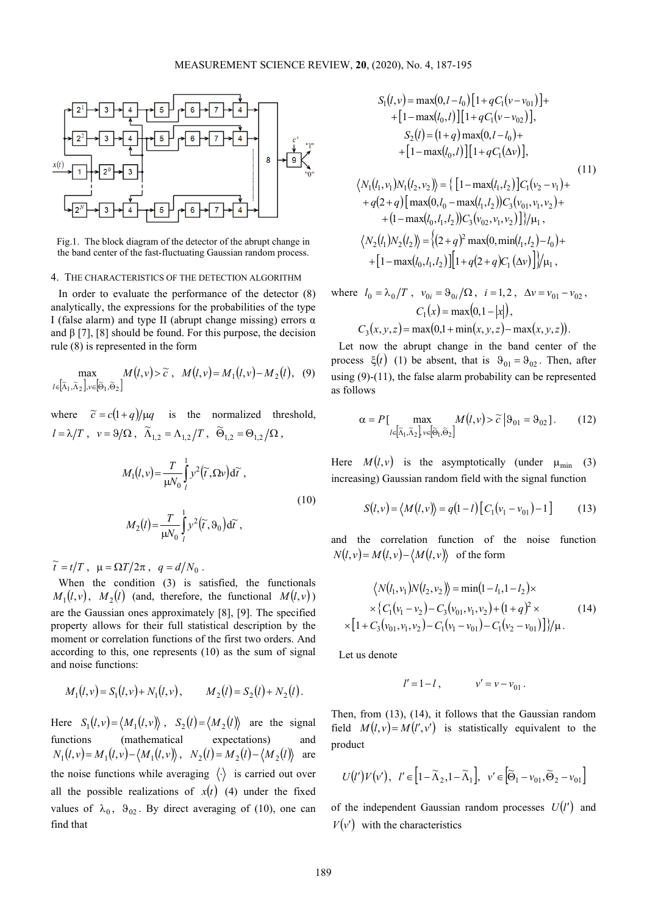

Fig.1. The block diagram of the detector of the abrupt change in the band center of the fast-fluctuating Gaussian random process.

### 4. THE CHARACTERISTICS OF THE DETECTION ALGORITHM

In order to evaluate the performance of the detector (8) analytically, the expressions for the probabilities of the type I (false alarm) and type II (abrupt change missing) errors α and  $\beta$  [7], [8] should be found. For this purpose, the decision rule (8) is represented in the form

$$
\max_{l \in \left[\widetilde{\Lambda}_1, \widetilde{\Lambda}_2\right], v \in \left[\widetilde{\Theta}_1, \widetilde{\Theta}_2\right]} M\left(l, v\right) > \widetilde{c}, \quad M\left(l, v\right) = M_1\left(l, v\right) - M_2\left(l\right), \quad (9)
$$

where  $\tilde{c} = c(1+q)/\mu q$  is the normalized threshold,  $l = \lambda/T$ ,  $v = 9/\Omega$ ,  $\widetilde{\Lambda}_{1,2} = \Lambda_{1,2}/T$ ,  $\widetilde{\Theta}_{1,2} = \Theta_{1,2}/\Omega$ ,

$$
M_1(l, v) = \frac{T}{\mu V_0} \int_l^1 y^2(\tilde{t}, \Omega v) d\tilde{t},
$$
  

$$
M_2(l) = \frac{T}{\mu V_0} \int_l^1 y^2(\tilde{t}, \vartheta_0) d\tilde{t},
$$
 (10)

 $\widetilde{t} = t/T$ ,  $\mu = \Omega T/2\pi$ ,  $q = d/N_0$ .

When the condition (3) is satisfied, the functionals  $M_1(l, v)$ ,  $M_2(l)$  (and, therefore, the functional  $M(l, v)$ ) are the Gaussian ones approximately [8], [9]. The specified property allows for their full statistical description by the moment or correlation functions of the first two orders. And according to this, one represents (10) as the sum of signal and noise functions:

$$
M_1(l, v) = S_1(l, v) + N_1(l, v),
$$
  $M_2(l) = S_2(l) + N_2(l).$ 

Here  $S_1(l, v) = \langle M_1(l, v) \rangle$ ,  $S_2(l) = \langle M_2(l) \rangle$  are the signal functions (mathematical expectations) and  $N_1(l, v) = M_1(l, v) - \langle M_1(l, v) \rangle$ ,  $N_2(l) = M_2(l) - \langle M_2(l) \rangle$  are the noise functions while averaging  $\langle \cdot \rangle$  is carried out over all the possible realizations of  $x(t)$  (4) under the fixed values of  $\lambda_0$ ,  $\vartheta_{02}$ . By direct averaging of (10), one can find that

$$
S_1(l, v) = \max(0, l - l_0) [1 + qC_1(v - v_{01})] +
$$
  
+ [1 - \max(l\_0, l)] [1 + qC\_1(v - v\_{02})],  

$$
S_2(l) = (1 + q) \max(0, l - l_0) +
$$
  
+ [1 - \max(l\_0, l)] [1 + qC\_1(\Delta v)],  

$$
\langle N_1(l_1, v_1)N_1(l_2, v_2) \rangle = \{ [1 - \max(l_1, l_2)]C_1(v_2 - v_1) +
$$
  
+ q(2 + q) [\max(0, l\_0 - \max(l\_1, l\_2))C\_3(v\_{01}, v\_1, v\_2) +  
+ (1 - \max(l\_0, l\_1, l\_2))C\_3(v\_{02}, v\_1, v\_2)] \} / \mu\_1,  

$$
\langle N_2(l_1)N_2(l_2) \rangle = \{ (2 + q)^2 \max(0, \min(l_1, l_2) - l_0) +
$$
  
+ [1 - \max(l\_0, l\_1, l\_2)] [1 + q(2 + q)C\_1(\Delta v)] \} / \mu\_1,

where  $l_0 = \lambda_0 / T$ ,  $v_{0i} = \theta_{0i} / \Omega$ ,  $i = 1, 2$ ,  $\Delta v = v_{01} - v_{02}$ ,  $C_1(x) = \max(0, 1 - |x|),$ 

$$
C_3(x, y, z) = \max(0, 1 + \min(x, y, z) - \max(x, y, z)).
$$

Let now the abrupt change in the band center of the process  $\xi(t)$  (1) be absent, that is  $\vartheta_{01} = \vartheta_{02}$ . Then, after using (9)-(11), the false alarm probability can be represented as follows

$$
\alpha = P\left[\max_{l \in \left[\tilde{\lambda}_1, \tilde{\lambda}_2\right], v \in \left[\tilde{\Theta}_1, \tilde{\Theta}_2\right]} M\left(l, v\right) > \tilde{c} \middle| \vartheta_{01} = \vartheta_{02}\right].\tag{12}
$$

Here  $M(l, v)$  is the asymptotically (under  $\mu_{\min}$  (3) increasing) Gaussian random field with the signal function

$$
S(l, v) = \langle M(l, v) \rangle = q(1 - l) [C_1(v_1 - v_{01}) - 1]
$$
 (13)

and the correlation function of the noise function  $N(l, v) = M(l, v) - \langle M(l, v) \rangle$  of the form

$$
\langle N(l_1, v_1)N(l_2, v_2) \rangle = \min(1 - l_1, 1 - l_2) \times
$$
  
 
$$
\times \{ C_1(v_1 - v_2) - C_3(v_{01}, v_1, v_2) + (1 + q)^2 \times
$$
  
 
$$
\times [1 + C_3(v_{01}, v_1, v_2) - C_1(v_1 - v_{01}) - C_1(v_2 - v_{01})] \} / \mu.
$$
 (14)

Let us denote

$$
l' = l - l \,, \qquad \qquad v' = v - v_{01} \,.
$$

Then, from (13), (14), it follows that the Gaussian random field  $M(l, v) = M(l', v')$  is statistically equivalent to the product

$$
U(l')V(v'), \quad l' \in \left[1-\widetilde{\Lambda}_2, 1-\widetilde{\Lambda}_1\right], \quad v' \in \left[\widetilde{\Theta}_1 - v_{01}, \widetilde{\Theta}_2 - v_{01}\right]
$$

of the independent Gaussian random processes  $U(l')$  and  $V(v')$  with the characteristics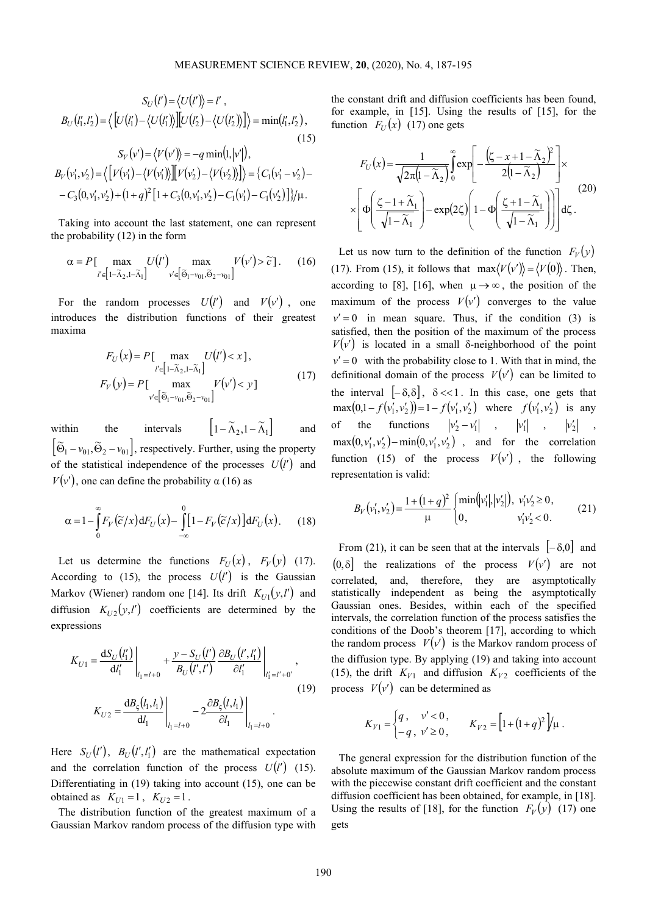$$
S_U(l') = \langle U(l') \rangle = l',
$$
  
\n
$$
B_U(l'_1, l'_2) = \langle [U(l'_1) - \langle U(l'_1) \rangle][U(l'_2) - \langle U(l'_2) \rangle] \rangle = \min(l'_1, l'_2),
$$
  
\n
$$
S_V(v') = \langle V(v') \rangle = -q \min(l, |v'|),
$$
  
\n(15)

$$
B_V(v'_1, v'_2) = \langle \left[ V(v'_1) - \langle V(v'_1) \rangle \right] \left[ V(v'_2) - \langle V(v'_2) \rangle \right] \rangle = \{ C_1(v'_1 - v'_2) - C_3(0, v'_1, v'_2) + (1 + q)^2 \left[ 1 + C_3(0, v'_1, v'_2) - C_1(v'_1) - C_1(v'_2) \right] \} / \mu.
$$

Taking into account the last statement, one can represent the probability (12) in the form

$$
\alpha = P\left[\max_{l' \in \left[1-\tilde{\lambda}_2, 1-\tilde{\lambda}_1\right]} U(l') \max_{v' \in \left[\tilde{\Theta}_1 - v_{01}, \tilde{\Theta}_2 - v_{01}\right]} V(v') > \tilde{c}\right].\tag{16}
$$

For the random processes  $U(l')$  and  $V(v')$ , one introduces the distribution functions of their greatest maxima

$$
F_U(x) = P[\max_{l' \in [1 - \tilde{\lambda}_2, 1 - \tilde{\lambda}_1]} U(l') < x],
$$
\n
$$
F_V(y) = P[\max_{v' \in [\tilde{\Theta}_1 - v_0, \tilde{\Theta}_2 - v_0, 1]} V(v') < y]
$$
\n
$$
(17)
$$

within the intervals  $\left[1-\widetilde{\Lambda}_2, 1-\widetilde{\Lambda}_1\right]$  and  $\left[ \widetilde{\Theta}_1 - v_{01}, \widetilde{\Theta}_2 - v_{01} \right]$ , respectively. Further, using the property of the statistical independence of the processes  $U(l')$  and  $V(v')$ , one can define the probability  $\alpha$  (16) as

$$
\alpha = 1 - \int_{0}^{\infty} F_V(\widetilde{c}/x) dF_U(x) - \int_{-\infty}^{0} [1 - F_V(\widetilde{c}/x)] dF_U(x).
$$
 (18)

Let us determine the functions  $F_U(x)$ ,  $F_V(y)$  (17). According to (15), the process  $U(l')$  is the Gaussian Markov (Wiener) random one [14]. Its drift  $K_{U}(y, l')$  and diffusion  $K_{U2}(y, l')$  coefficients are determined by the expressions

$$
K_{U1} = \frac{dS_U(l'_1)}{dl'_1} \bigg|_{l_1 = l + 0} + \frac{y - S_U(l')}{B_U(l', l')} \frac{\partial B_U(l', l'_1)}{\partial l'_1} \bigg|_{l'_1 = l' + 0'},
$$
  

$$
K_{U2} = \frac{dB_{\varsigma}(l_1, l_1)}{dl_1} \bigg|_{l_1 = l + 0} - 2 \frac{\partial B_{\varsigma}(l, l_1)}{\partial l_1} \bigg|_{l_1 = l + 0}.
$$
 (19)

Here  $S_U(l')$ ,  $B_U(l', l'_1)$  are the mathematical expectation and the correlation function of the process  $U(l')$  (15). Differentiating in (19) taking into account (15), one can be obtained as  $K_{U1} = 1$ ,  $K_{U2} = 1$ .

The distribution function of the greatest maximum of a Gaussian Markov random process of the diffusion type with

the constant drift and diffusion coefficients has been found, for example, in [15]. Using the results of [15], for the function  $F_U(x)$  (17) one gets

$$
F_U(x) = \frac{1}{\sqrt{2\pi(1-\widetilde{\Lambda}_2)}} \int_0^\infty \exp\left[-\frac{\left(\zeta - x + 1 - \widetilde{\Lambda}_2\right)^2}{2\left(1 - \widetilde{\Lambda}_2\right)}\right] \times \left[\Phi\left(\frac{\zeta - 1 + \widetilde{\Lambda}_1}{\sqrt{1 - \widetilde{\Lambda}_1}}\right) - \exp(2\zeta)\left(1 - \Phi\left(\frac{\zeta + 1 - \widetilde{\Lambda}_1}{\sqrt{1 - \widetilde{\Lambda}_1}}\right)\right)\right] d\zeta.
$$
 (20)

Let us now turn to the definition of the function  $F_V(y)$ (17). From (15), it follows that  $\max \langle V(v') \rangle = \langle V(0) \rangle$ . Then, according to [8], [16], when  $\mu \rightarrow \infty$ , the position of the maximum of the process  $V(v')$  converges to the value  $v' = 0$  in mean square. Thus, if the condition (3) is satisfied, then the position of the maximum of the process  $V(v')$  is located in a small δ-neighborhood of the point  $v' = 0$  with the probability close to 1. With that in mind, the definitional domain of the process  $V(v')$  can be limited to the interval  $[-\delta, \delta]$ ,  $\delta \ll 1$ . In this case, one gets that  $\max(0, 1 - f(v'_1, v'_2)) = 1 - f(v'_1, v'_2)$  where  $f(v'_1, v'_2)$  is any of the functions  $|v'_2 - v'_1|$ ,  $|v'_1|$ ,  $|v'_2|$ ,  $\max(0, v'_1, v'_2) - \min(0, v'_1, v'_2)$ , and for the correlation function (15) of the process  $V(v')$ , the following representation is valid:

$$
B_V(v'_1, v'_2) = \frac{1 + (1 + q)^2}{\mu} \begin{cases} \min(|v'_1|, |v'_2|), & v'_1 v'_2 \ge 0, \\ 0, & v'_1 v'_2 < 0. \end{cases}
$$
 (21)

From (21), it can be seen that at the intervals  $[-\delta,0]$  and  $(0, \delta]$  the realizations of the process  $V(v')$  are not correlated, and, therefore, they are asymptotically statistically independent as being the asymptotically Gaussian ones. Besides, within each of the specified intervals, the correlation function of the process satisfies the conditions of the Doob's theorem [17], according to which the random process  $V(v')$  is the Markov random process of the diffusion type. By applying (19) and taking into account (15), the drift  $K_{V1}$  and diffusion  $K_{V2}$  coefficients of the process  $V(v')$  can be determined as

$$
K_{V1} = \begin{cases} q, & v' < 0, \\ -q, & v' \ge 0, \end{cases} \qquad K_{V2} = \left[ 1 + (1+q)^2 \right] / \mu.
$$

The general expression for the distribution function of the absolute maximum of the Gaussian Markov random process with the piecewise constant drift coefficient and the constant diffusion coefficient has been obtained, for example, in [18]. Using the results of [18], for the function  $F_V(y)$  (17) one gets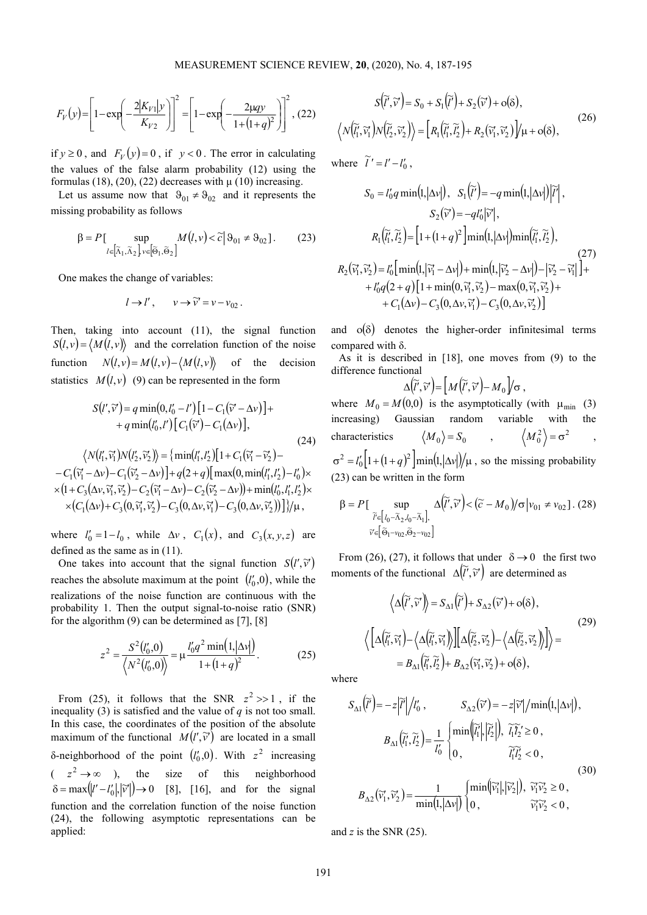$$
F_V(y) = \left[1 - \exp\left(-\frac{2|K_{V1}|y}{K_{V2}}\right)\right]^2 = \left[1 - \exp\left(-\frac{2\mu qy}{1 + (1 + q)^2}\right)\right]^2, (22)
$$

if  $y \ge 0$ , and  $F_V(y) = 0$ , if  $y < 0$ . The error in calculating the values of the false alarm probability (12) using the formulas (18), (20), (22) decreases with  $\mu$  (10) increasing.

Let us assume now that  $\vartheta_{01} \neq \vartheta_{02}$  and it represents the missing probability as follows

$$
\beta = P \left[ \sup_{l \in \left[ \widetilde{\Lambda}_1, \widetilde{\Lambda}_2 \right] \times \left[ \widetilde{\Theta}_1, \widetilde{\Theta}_2 \right]} M \left( l, \nu \right) < \widetilde{c} \left| \Theta_{01} \neq \Theta_{02} \right]. \tag{23}
$$

One makes the change of variables:

$$
l \rightarrow l', \qquad v \rightarrow \widetilde{v}' = v - v_{02}
$$
.

Then, taking into account (11), the signal function  $S(l, v) = \langle M(l, v) \rangle$  and the correlation function of the noise function  $N(l, v) = M(l, v) - \langle M(l, v) \rangle$  of the decision statistics  $M(l, v)$  (9) can be represented in the form

$$
S(l', \tilde{v}') = q \min(0, l'_0 - l') [1 - C_1(\tilde{v}' - \Delta v)] ++ q \min(l'_0, l') [C_1(\tilde{v}') - C_1(\Delta v)],
$$
\n(24)  

$$
\langle N(l'_1, \tilde{v}'_1) N(l'_2, \tilde{v}'_2) \rangle = \{ \min(l'_1, l'_2) [1 + C_1(\tilde{v}'_1 - \tilde{v}'_2) -- C_1(\tilde{v}'_1 - \Delta v) - C_1(\tilde{v}'_2 - \Delta v)] + q(2 + q) [\max(0, \min(l'_1, l'_2) - l'_0) \times\times (1 + C_3(\Delta v, \tilde{v}'_1, \tilde{v}'_2) - C_2(\tilde{v}'_1 - \Delta v) - C_2(\tilde{v}'_2 - \Delta v)) + \min(l'_0, l'_1, l'_2) \times\times (C_1(\Delta v) + C_3(0, \tilde{v}'_1, \tilde{v}'_2) - C_3(0, \Delta v, \tilde{v}'_1) - C_3(0, \Delta v, \tilde{v}'_2)) ] \} / \mu,
$$

where  $l'_0 = 1 - l_0$ , while  $\Delta v$ ,  $C_1(x)$ , and  $C_3(x, y, z)$  are defined as the same as in (11).

One takes into account that the signal function  $S(l', \tilde{v}')$ reaches the absolute maximum at the point  $(l'_0, 0)$ , while the realizations of the noise function are continuous with the probability 1. Then the output signal-to-noise ratio (SNR) for the algorithm (9) can be determined as [7], [8]

$$
z^{2} = \frac{S^{2}(l'_{0},0)}{\langle N^{2}(l'_{0},0)\rangle} = \mu \frac{l'_{0}q^{2} \min(1,|\Delta v|)}{1 + (1 + q)^{2}}.
$$
 (25)

From (25), it follows that the SNR  $z^2 \gg 1$ , if the inequality (3) is satisfied and the value of  $q$  is not too small. In this case, the coordinates of the position of the absolute maximum of the functional  $M(l', \vec{v})$  are located in a small δ-neighborhood of the point  $(l'_0, 0)$ . With  $z^2$  increasing  $(z^2 \rightarrow \infty)$ , the size of this neighborhood  $\delta = \max(|l' - l'_0|, |\tilde{v}'|) \rightarrow 0$  [8], [16], and for the signal function and the correlation function of the noise function (24), the following asymptotic representations can be applied:

$$
S(\tilde{t}', \tilde{v}') = S_0 + S_1(\tilde{t}') + S_2(\tilde{v}') + o(\delta),
$$
  

$$
\langle N(\tilde{t}'_1, \tilde{v}'_1) N(\tilde{t}'_2, \tilde{v}'_2) \rangle = [R_1(\tilde{t}'_1, \tilde{t}'_2) + R_2(\tilde{v}'_1, \tilde{v}'_2)]/\mu + o(\delta),
$$
 (26)

where  $\tilde{l}' = l' - l'_0$ ,

$$
S_0 = l'_0 q \min(1, |\Delta v|), S_1(\tilde{l}') = -q \min(1, |\Delta v|) |\tilde{l}'|,
$$
  
\n
$$
S_2(\tilde{v}') = -q l'_0 |\tilde{v}'|,
$$
  
\n
$$
R_1(\tilde{l}'_1, \tilde{l}'_2) = [1 + (1 + q)^2] \min(1, |\Delta v|) \min(\tilde{l}'_1, \tilde{l}'_2),
$$
  
\n
$$
R_2(\tilde{v}_1, \tilde{v}_2') = l'_0 [\min(1, |\tilde{v}_1' - \Delta v|) + \min(1, |\tilde{v}_2' - \Delta v|) - |\tilde{v}_2' - \tilde{v}_1'|] +
$$
  
\n
$$
+ l'_0 q (2 + q) [1 + \min(0, \tilde{v}_1', \tilde{v}_2') - \max(0, \tilde{v}_1', \tilde{v}_2') +
$$
  
\n
$$
+ C_1(\Delta v) - C_3(0, \Delta v, \tilde{v}_1') - C_3(0, \Delta v, \tilde{v}_2')]
$$

and  $o(\delta)$  denotes the higher-order infinitesimal terms compared with δ.

As it is described in [18], one moves from (9) to the difference functional

$$
\Delta(\widetilde{l}', \widetilde{v}') = \left[ M(\widetilde{l}', \widetilde{v}') - M_0 \right] / \sigma,
$$

where  $M_0 = M(0,0)$  is the asymptotically (with  $\mu_{\min}$  (3) increasing) Gaussian random variable with the characteristics  $\langle M_0 \rangle = S_0$ ,  $\langle M_0^2 \rangle = \sigma^2$ 

 $\sigma^2 = l'_0 \left[ 1 + (1+q)^2 \right] \min(1, |\Delta v|)/\mu$ , so the missing probability (23) can be written in the form

$$
\beta = P \left[ \sup_{\widetilde{l}' \in [l_0 - \widetilde{\Lambda}_2, l_0 - \widetilde{\Lambda}_1], \Delta(\widetilde{l}', \widetilde{\nu}') < (\widetilde{c} - M_0) / \sigma |v_{01} \neq v_{02}]. (28)
$$
  

$$
\widetilde{v} \in [\widetilde{\Theta}_1 - v_{02}, \widetilde{\Theta}_2 - v_{02}]
$$

From (26), (27), it follows that under  $\delta \rightarrow 0$  the first two moments of the functional  $\Delta(\tilde{l}', \tilde{v}')$  are determined as

$$
\left\langle \Delta(\widetilde{l}', \widetilde{v}') \right\rangle = S_{\Delta 1}(\widetilde{l}') + S_{\Delta 2}(\widetilde{v}') + o(\delta),
$$
  

$$
\left\langle \left[ \Delta(\widetilde{l}'_1, \widetilde{v}'_1) - \left\langle \Delta(\widetilde{l}'_1, \widetilde{v}'_1) \right\rangle \right] \left[ \Delta(\widetilde{l}'_2, \widetilde{v}'_2) - \left\langle \Delta(\widetilde{l}'_2, \widetilde{v}'_2) \right\rangle \right] \right\rangle =
$$
  

$$
= B_{\Delta 1}(\widetilde{l}'_1, \widetilde{l}'_2) + B_{\Delta 2}(\widetilde{v}'_1, \widetilde{v}'_2) + o(\delta),
$$
 (29)

where

$$
S_{\Delta 1}(\tilde{i}') = -z|\tilde{i}'|/i_0, \qquad S_{\Delta 2}(\tilde{v}') = -z|\tilde{v}'|/min(1, |\Delta v|),
$$

$$
B_{\Delta 1}(\tilde{i}_1', \tilde{i}_2') = \frac{1}{i_0'} \begin{cases} \min(|\tilde{i}_1'|, |\tilde{i}_2'|), & \tilde{i}_1 \tilde{i}_2' \ge 0, \\ 0, & \tilde{i}_1 \tilde{i}_2' < 0, \end{cases}
$$

$$
B_{\Delta 2}(\tilde{v}_1', \tilde{v}_2') = \frac{1}{\min(1, |\Delta v|)} \begin{cases} \min(|\tilde{v}_1'|, |\tilde{v}_2'|), & \tilde{v}_1 \tilde{v}_2' \ge 0, \\ 0, & \tilde{v}_1 \tilde{v}_2' < 0, \end{cases}
$$
(30)

and *z* is the SNR (25).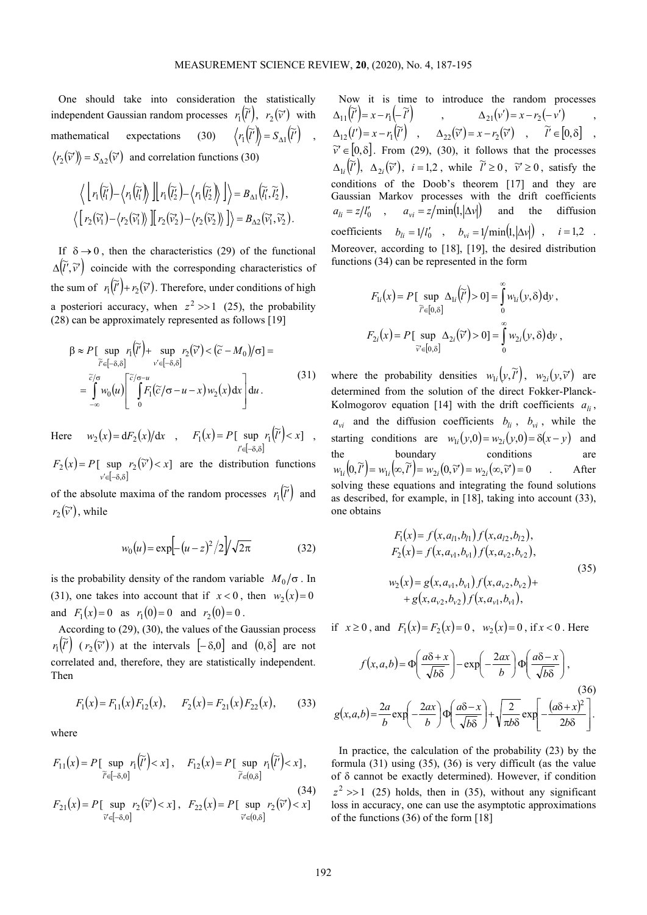,

One should take into consideration the statistically independent Gaussian random processes  $r_1(\tilde{l})$ ,  $r_1(\tilde{l}')$ ,  $r_2(\tilde{v}')$  with mathematical expectations (30)  $\langle r_1(\tilde{l}) \rangle = S_{\lambda 1}(\tilde{l})$  $\overline{\langle I' \rangle} = S_{\Delta 1}(I') \quad ,$  $r_2(\tilde{v}) = S_{\Delta 2}(\tilde{v})$  and correlation functions (30)

$$
\left\langle \left[ r_1(\widetilde{l}_1) - \left\langle r_1(\widetilde{l}_1) \right\rangle \right] \right| r_1(\widetilde{l}_2) - \left\langle r_1(\widetilde{l}_2) \right\rangle \right] \right\rangle = B_{\Delta 1}(\widetilde{l}_1', \widetilde{l}_2'),
$$
  

$$
\left\langle \left[ r_2(\widetilde{v}_1') - \left\langle r_2(\widetilde{v}_1') \right\rangle \right] \right| r_2(\widetilde{v}_2') - \left\langle r_2(\widetilde{v}_2') \right\rangle \right] \right\rangle = B_{\Delta 2}(\widetilde{v}_1', \widetilde{v}_2').
$$

If  $\delta \rightarrow 0$ , then the characteristics (29) of the functional  $\Delta(\tilde{l}', \tilde{v}')$  coincide with the corresponding characteristics of the sum of  $r_1(\tilde{l}) + r_2(\tilde{v})$ . Therefore, under conditions of high a posteriori accuracy, when  $z^2 \gg 1$  (25), the probability (28) can be approximately represented as follows [19]

→ <sub>→</sub>

$$
\beta \approx P \left[ \sup_{\widetilde{l}' \in [-\delta, \delta]} r_1(\widetilde{l}') + \sup_{v' \in [-\delta, \delta]} r_2(\widetilde{v}') < (\widetilde{c} - M_0) / \sigma \right] =
$$
\n
$$
= \int_{-\infty}^{\widetilde{c}/\sigma} w_0(u) \left[ \int_{0}^{\widetilde{c}/\sigma - u} f_1(\widetilde{c}/\sigma - u - x) w_2(x) dx \right] du.
$$
\n(31)

Here  $w_2(x) = dF_2(x)/dx$ ,  $F_1(x)$  $[-\delta, \delta]$ [ sup  $r_1(\tilde{l}') < x$ ] .<br>,  $F_1(x) = P[\sup \ r_1(l') < x]$ *l*  $= P[\sup r_1(l')]$ ′′∈[−δ,δ

 $(x)$  $[-\delta, \delta]$ [ sup  $r_2(\widetilde{v}') < x$ ] ,  $F_2(x) = P[\sup \ r_2(\widetilde{v}') < x]$ *v*  $= P[\sup r_2(\widetilde{v}')]$ ′∈[−δ,δ are the distribution functions

of the absolute maxima of the random processes  $r_1(\tilde{l})$  $\tau_1(\tilde{l}')$  and  $r_2(\tilde{v}')$ , while

$$
w_0(u) = \exp[-(u-z)^2/2]/\sqrt{2\pi}
$$
 (32)

is the probability density of the random variable  $M_0/\sigma$ . In (31), one takes into account that if  $x < 0$ , then  $w_2(x) = 0$ and  $F_1(x) = 0$  as  $r_1(0) = 0$  and  $r_2(0) = 0$ .

According to (29), (30), the values of the Gaussian process  $r_1(\widetilde{l}')$  $\tilde{I}_1(\tilde{l})$  ( $r_2(\tilde{v}')$ ) at the intervals  $[-\delta,0]$  and  $(0,\delta]$  are not correlated and, therefore, they are statistically independent. Then

$$
F_1(x) = F_{11}(x) F_{12}(x), \quad F_2(x) = F_{21}(x) F_{22}(x), \quad (33)
$$

where

$$
F_{11}(x) = P[\sup_{\widetilde{l}' \in [-\delta,0]} r_1(\widetilde{l}') < x], \quad F_{12}(x) = P[\sup_{\widetilde{l}' \in (0,\delta]} r_1(\widetilde{l}') < x],
$$
\n
$$
F_{21}(x) = P[\sup_{\widetilde{v}' \in [-\delta,0]} r_2(\widetilde{v}') < x], \quad F_{22}(x) = P[\sup_{\widetilde{v}' \in (0,\delta]} r_2(\widetilde{v}') < x]
$$
\n(34)

Now it is time to introduce the random processes  $(\widetilde{l}') = x - r_1(-\widetilde{l}')$ 11  $\Delta_{21}(v') = x - r_2(-v')$ ,  $\Delta_{12}(l') = x - r_1(\tilde{l'})$ ,  $\Delta_{22}(\tilde{v}) = x - r_2(\tilde{v'})$ ,  $\tilde{l'} \in [0, \delta]$ ,  $\tilde{v}' \in [0, \delta]$ . From (29), (30), it follows that the processes  $\Delta_{1i}(\tilde{l})$ ,  $\Delta_{2i}(\tilde{v}')$ ,  $i=1,2$ , while  $\tilde{l}'\geq 0$ ,  $\tilde{v}'\geq 0$ , satisfy the conditions of the Doob's theorem [17] and they are Gaussian Markov processes with the drift coefficients  $a_{li} = z/l_0'$ ,  $a_{vi} = z/\text{min}(1, |\Delta v|)$  and the diffusion coefficients  $b_{li} = 1/l'_0$ ,  $b_{vi} = 1/\min(1, |\Delta v|)$ ,  $i = 1, 2$ . Moreover, according to [18], [19], the desired distribution functions (34) can be represented in the form

$$
F_{1i}(x) = P[\sup_{\widetilde{l}' \in [0,\delta]} \Delta_{1i}(\widetilde{l}')
$$
 > 0] =  $\int_{0}^{\infty} w_{1i}(y,\delta) dy$ ,  

$$
F_{2i}(x) = P[\sup_{\widetilde{v}' \in [0,\delta]} \Delta_{2i}(\widetilde{v}') > 0] = \int_{0}^{\infty} w_{2i}(y,\delta) dy
$$
,

where the probability densities  $w_{1i}(y, \tilde{t})$ ,  $w_{2i}(y, \tilde{v})$  are determined from the solution of the direct Fokker-Planck-Kolmogorov equation [14] with the drift coefficients  $a_{i}$ ,  $a_{vi}$  and the diffusion coefficients  $b_{li}$ ,  $b_{vi}$ , while the starting conditions are  $w_{1i}(y,0) = w_{2i}(y,0) = \delta(x-y)$  and the boundary conditions are  $w_{1i}\left(0,\widetilde{l}^{\prime}\right) = w_{1i}\left(\infty,\widetilde{l}^{\prime}\right) = w_{2i}\left(0,\widetilde{v}^{\prime}\right) = w_{2i}\left(\infty,\widetilde{v}^{\prime}\right) = 0$  After solving these equations and integrating the found solutions as described, for example, in [18], taking into account (33), one obtains

$$
F_1(x) = f(x, a_{11}, b_{11}) f(x, a_{12}, b_{12}),
$$
  
\n
$$
F_2(x) = f(x, a_{v1}, b_{v1}) f(x, a_{v2}, b_{v2}),
$$
  
\n
$$
w_2(x) = g(x, a_{v1}, b_{v1}) f(x, a_{v2}, b_{v2}) +
$$
  
\n
$$
+ g(x, a_{v2}, b_{v2}) f(x, a_{v1}, b_{v1}),
$$
\n(35)

if  $x \ge 0$ , and  $F_1(x) = F_2(x) = 0$ ,  $w_2(x) = 0$ , if  $x < 0$ . Here

$$
f(x, a, b) = \Phi\left(\frac{a\delta + x}{\sqrt{b\delta}}\right) - \exp\left(-\frac{2ax}{b}\right)\Phi\left(\frac{a\delta - x}{\sqrt{b\delta}}\right),
$$
\n
$$
g(x, a, b) = \frac{2a}{b}\exp\left(-\frac{2ax}{b}\right)\Phi\left(\frac{a\delta - x}{\sqrt{b\delta}}\right) + \sqrt{\frac{2}{\pi b\delta}}\exp\left(-\frac{(a\delta + x)^2}{2b\delta}\right).
$$
\n(36)

In practice, the calculation of the probability (23) by the formula (31) using (35), (36) is very difficult (as the value of δ cannot be exactly determined). However, if condition  $z^2 \gg 1$  (25) holds, then in (35), without any significant loss in accuracy, one can use the asymptotic approximations of the functions (36) of the form [18]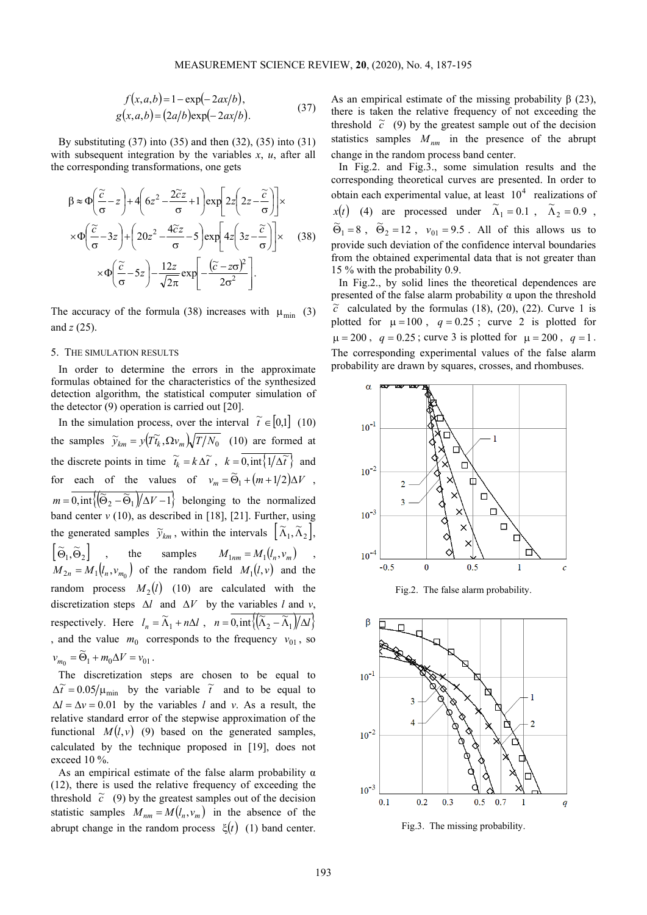$$
f(x, a, b) = 1 - \exp(-2ax/b), g(x, a, b) = (2a/b)\exp(-2ax/b).
$$
 (37)

By substituting (37) into (35) and then (32), (35) into (31) with subsequent integration by the variables *x*, *u*, after all the corresponding transformations, one gets

$$
\beta \approx \Phi \left( \frac{\tilde{c}}{\sigma} - z \right) + 4 \left( 6z^2 - \frac{2\tilde{c}z}{\sigma} + 1 \right) \exp \left[ 2z \left( 2z - \frac{\tilde{c}}{\sigma} \right) \right] \times
$$
  
 
$$
\times \Phi \left( \frac{\tilde{c}}{\sigma} - 3z \right) + \left( 20z^2 - \frac{4\tilde{c}z}{\sigma} - 5 \right) \exp \left[ 4z \left( 3z - \frac{\tilde{c}}{\sigma} \right) \right] \times \qquad (38)
$$
  
 
$$
\times \Phi \left( \frac{\tilde{c}}{\sigma} - 5z \right) - \frac{12z}{\sqrt{2\pi}} \exp \left[ -\frac{(\tilde{c} - z\sigma)^2}{2\sigma^2} \right].
$$

The accuracy of the formula (38) increases with  $\mu_{\min}$  (3) and *z* (25).

## 5. THE SIMULATION RESULTS

In order to determine the errors in the approximate formulas obtained for the characteristics of the synthesized detection algorithm, the statistical computer simulation of the detector (9) operation is carried out [20].

In the simulation process, over the interval  $\tilde{t} \in [0,1]$  (10) the samples  $\widetilde{y}_{km} = y(\widetilde{T_k}, \Omega v_m) \sqrt{T/N_0}$  (10) are formed at the discrete points in time  $\widetilde{t}_k = k \Delta \widetilde{t}$ ,  $k = 0, \text{int}\left\{1/\Delta \widetilde{t}\right\}$  and for each of the values of  $v_m = \widetilde{\Theta}_1 + (m+1/2)\Delta V$  $D_1 + (m+1/2)\Delta V$ ,  ${m} = \overline{0, \text{int}\left\{\left(\widetilde{\Theta}_2 - \widetilde{\Theta}_1\right)/\Delta V - 1\right\}}$  belonging to the normalized band center  $v(10)$ , as described in [18], [21]. Further, using the generated samples  $\widetilde{y}_{km}$ , within the intervals  $\left[\widetilde{\Lambda}_1, \widetilde{\Lambda}_2\right]$ ,  $\left[ \widetilde{\Theta}_1, \widetilde{\Theta}_2 \right]$ , the samples  $M_{1nm} = M_1(l_n, v_m)$ ,  $M_{2n} = M_1(l_n, v_{m_0})$  of the random field  $M_1(l, v)$  and the random process  $M_2(l)$  (10) are calculated with the discretization steps ∆*l* and ∆*V* by the variables *l* and *v*, respectively. Here  $l_n = \widetilde{\Lambda}_1 + n\Delta l$ ,  $n = \overline{0, \text{int}\{(\widetilde{\Lambda}_2 - \widetilde{\Lambda}_1)/\Delta l\}}$ , and the value  $m_0$  corresponds to the frequency  $v_{01}$ , so  $v_1 + m_0 \Delta v - v_{01}$  $\approx$  $v_{m_0} = \Theta_1 + m_0 \Delta V = v_{01}$ .

The discretization steps are chosen to be equal to  $\Delta \tilde{t} = 0.05 / \mu_{\text{min}}$  by the variable  $\tilde{t}$  and to be equal to  $\Delta l = \Delta v = 0.01$  by the variables *l* and *v*. As a result, the relative standard error of the stepwise approximation of the functional  $M(l, v)$  (9) based on the generated samples, calculated by the technique proposed in [19], does not exceed 10 %.

As an empirical estimate of the false alarm probability  $\alpha$ (12), there is used the relative frequency of exceeding the threshold  $\tilde{c}$  (9) by the greatest samples out of the decision statistic samples  $M_{nm} = M(l_n, v_m)$  in the absence of the abrupt change in the random process ξ(*t*) (1) band center.

As an empirical estimate of the missing probability  $\beta$  (23), there is taken the relative frequency of not exceeding the threshold  $\tilde{c}$  (9) by the greatest sample out of the decision statistics samples  $M_{nm}$  in the presence of the abrupt change in the random process band center.

In Fig.2. and Fig.3., some simulation results and the corresponding theoretical curves are presented. In order to obtain each experimental value, at least  $10<sup>4</sup>$  realizations of *x*(*t*) (4) are processed under  $\tilde{\Lambda}_1 = 0.1$ ,  $\tilde{\Lambda}_2 = 0.9$ ,  $\widetilde{\Theta}_1 = 8$ ,  $\widetilde{\Theta}_2 = 12$ ,  $v_{01} = 9.5$ . All of this allows us to provide such deviation of the confidence interval boundaries from the obtained experimental data that is not greater than 15 % with the probability 0.9.

In Fig.2., by solid lines the theoretical dependences are presented of the false alarm probability  $\alpha$  upon the threshold  $\tilde{c}$  calculated by the formulas (18), (20), (22). Curve 1 is plotted for  $\mu = 100$ ,  $q = 0.25$ ; curve 2 is plotted for  $\mu = 200$ ,  $q = 0.25$ ; curve 3 is plotted for  $\mu = 200$ ,  $q = 1$ . The corresponding experimental values of the false alarm probability are drawn by squares, crosses, and rhombuses.







Fig.3. The missing probability.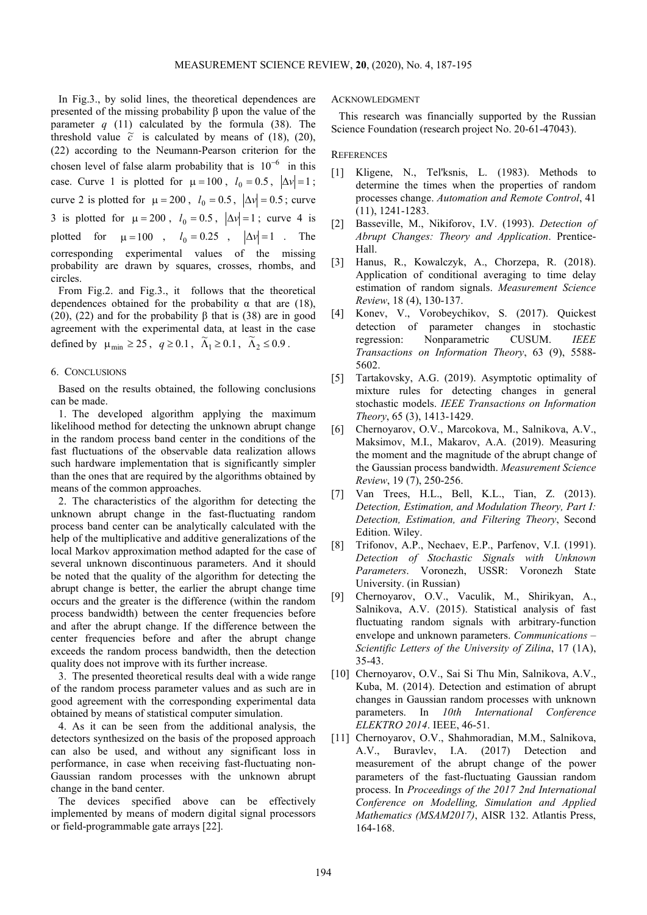In Fig.3., by solid lines, the theoretical dependences are presented of the missing probability  $β$  upon the value of the parameter  $q(11)$  calculated by the formula  $(38)$ . The threshold value  $\tilde{c}$  is calculated by means of (18), (20), (22) according to the Neumann-Pearson criterion for the chosen level of false alarm probability that is  $10^{-6}$  in this case. Curve 1 is plotted for  $\mu = 100$ ,  $l_0 = 0.5$ ,  $|\Delta v| = 1$ ; curve 2 is plotted for  $\mu = 200$ ,  $l_0 = 0.5$ ,  $|\Delta v| = 0.5$ ; curve 3 is plotted for  $\mu = 200$ ,  $l_0 = 0.5$ ,  $|\Delta v| = 1$ ; curve 4 is plotted for  $\mu = 100$ ,  $l_0 = 0.25$ ,  $|\Delta v| = 1$ . The corresponding experimental values of the missing probability are drawn by squares, crosses, rhombs, and circles.

From Fig.2. and Fig.3., it follows that the theoretical dependences obtained for the probability  $\alpha$  that are (18), (20), (22) and for the probability  $\beta$  that is (38) are in good agreement with the experimental data, at least in the case defined by  $\mu_{\min} \ge 25$ ,  $q \ge 0.1$ ,  $\widetilde{\Lambda}_1 \ge 0.1$ ,  $\widetilde{\Lambda}_2 \le 0.9$ .

#### 6. CONCLUSIONS

Based on the results obtained, the following conclusions can be made.

1. The developed algorithm applying the maximum likelihood method for detecting the unknown abrupt change in the random process band center in the conditions of the fast fluctuations of the observable data realization allows such hardware implementation that is significantly simpler than the ones that are required by the algorithms obtained by means of the common approaches.

2. The characteristics of the algorithm for detecting the unknown abrupt change in the fast-fluctuating random process band center can be analytically calculated with the help of the multiplicative and additive generalizations of the local Markov approximation method adapted for the case of several unknown discontinuous parameters. And it should be noted that the quality of the algorithm for detecting the abrupt change is better, the earlier the abrupt change time occurs and the greater is the difference (within the random process bandwidth) between the center frequencies before and after the abrupt change. If the difference between the center frequencies before and after the abrupt change exceeds the random process bandwidth, then the detection quality does not improve with its further increase.

3. The presented theoretical results deal with a wide range of the random process parameter values and as such are in good agreement with the corresponding experimental data obtained by means of statistical computer simulation.

4. As it can be seen from the additional analysis, the detectors synthesized on the basis of the proposed approach can also be used, and without any significant loss in performance, in case when receiving fast-fluctuating non-Gaussian random processes with the unknown abrupt change in the band center.

The devices specified above can be effectively implemented by means of modern digital signal processors or field-programmable gate arrays [22].

ACKNOWLEDGMENT

This research was financially supported by the Russian Science Foundation (research project No. 20-61-47043).

# **REFERENCES**

- [1] Kligene, N., Tel'ksnis, L. (1983). Methods to determine the times when the properties of random processes change. *Automation and Remote Control*, 41 (11), 1241-1283.
- [2] Basseville, M., Nikiforov, I.V. (1993). *Detection of Abrupt Changes: Theory and Application*. Prentice-Hall.
- [3] Hanus, R., Kowalczyk, A., Chorzepa, R. (2018). Application of conditional averaging to time delay estimation of random signals. *Measurement Science Review*, 18 (4), 130-137.
- [4] Konev, V., Vorobeychikov, S. (2017). Quickest detection of parameter changes in stochastic regression: Nonparametric CUSUM. *IEEE Transactions on Information Theory*, 63 (9), 5588- 5602.
- [5] Tartakovsky, A.G. (2019). Asymptotic optimality of mixture rules for detecting changes in general stochastic models. *IEEE Transactions on Information Theory*, 65 (3), 1413-1429.
- [6] Chernoyarov, O.V., Marcokova, M., Salnikova, A.V., Maksimov, M.I., Makarov, A.A. (2019). Measuring the moment and the magnitude of the abrupt change of the Gaussian process bandwidth. *Measurement Science Review*, 19 (7), 250-256.
- [7] Van Trees, H.L., Bell, K.L., Tian, Z. (2013). *Detection, Estimation, and Modulation Theory, Part I: Detection, Estimation, and Filtering Theory*, Second Edition. Wiley.
- [8] Trifonov, A.P., Nechaev, E.P., Parfenov, V.I. (1991). *Detection of Stochastic Signals with Unknown Parameters*. Voronezh, USSR: Voronezh State University. (in Russian)
- [9] Chernoyarov, O.V., Vaculik, M., Shirikyan, A., Salnikova, A.V. (2015). Statistical analysis of fast fluctuating random signals with arbitrary-function envelope and unknown parameters. *Communications – Scientific Letters of the University of Zilina*, 17 (1A), 35-43.
- [10] Chernoyarov, O.V., Sai Si Thu Min, Salnikova, A.V., Kuba, M. (2014). Detection and estimation of abrupt changes in Gaussian random processes with unknown parameters. In *10th International Conference ELEKTRO 2014*. IEEE, 46-51.
- [11] Chernoyarov, O.V., Shahmoradian, M.M., Salnikova, A.V., Buravlev, I.A. (2017) Detection and measurement of the abrupt change of the power parameters of the fast-fluctuating Gaussian random process. In *Proceedings of the 2017 2nd International Conference on Modelling, Simulation and Applied Mathematics (MSAM2017)*, AISR 132. Atlantis Press, 164-168.